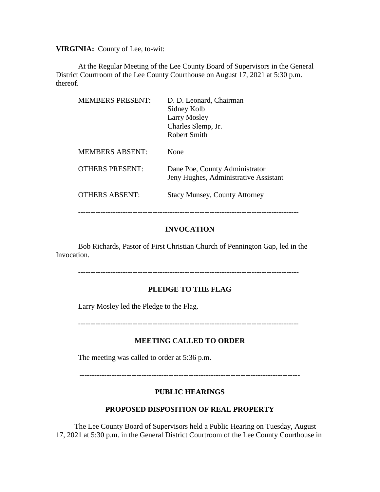**VIRGINIA:** County of Lee, to-wit:

At the Regular Meeting of the Lee County Board of Supervisors in the General District Courtroom of the Lee County Courthouse on August 17, 2021 at 5:30 p.m. thereof.

| <b>MEMBERS PRESENT:</b> | D. D. Leonard, Chairman<br>Sidney Kolb<br><b>Larry Mosley</b><br>Charles Slemp, Jr.<br><b>Robert Smith</b> |
|-------------------------|------------------------------------------------------------------------------------------------------------|
| <b>MEMBERS ABSENT:</b>  | None                                                                                                       |
| <b>OTHERS PRESENT:</b>  | Dane Poe, County Administrator<br>Jeny Hughes, Administrative Assistant                                    |
| <b>OTHERS ABSENT:</b>   | <b>Stacy Munsey, County Attorney</b>                                                                       |

## **INVOCATION**

Bob Richards, Pastor of First Christian Church of Pennington Gap, led in the Invocation.

-----------------------------------------------------------------------------------------

### **PLEDGE TO THE FLAG**

Larry Mosley led the Pledge to the Flag.

-----------------------------------------------------------------------------------------

### **MEETING CALLED TO ORDER**

The meeting was called to order at 5:36 p.m.

-----------------------------------------------------------------------------------------

#### **PUBLIC HEARINGS**

## **PROPOSED DISPOSITION OF REAL PROPERTY**

 The Lee County Board of Supervisors held a Public Hearing on Tuesday, August 17, 2021 at 5:30 p.m. in the General District Courtroom of the Lee County Courthouse in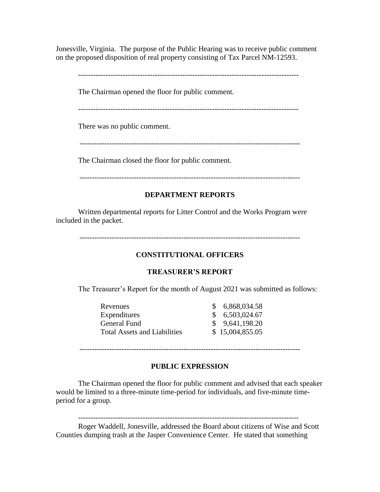Jonesville, Virginia. The purpose of the Public Hearing was to receive public comment on the proposed disposition of real property consisting of Tax Parcel NM-12593.

-----------------------------------------------------------------------------------------

The Chairman opened the floor for public comment.

There was no public comment.

-----------------------------------------------------------------------------------------

The Chairman closed the floor for public comment.

-----------------------------------------------------------------------------------------

# **DEPARTMENT REPORTS**

Written departmental reports for Litter Control and the Works Program were included in the packet.

-----------------------------------------------------------------------------------------

# **CONSTITUTIONAL OFFICERS**

## **TREASURER'S REPORT**

The Treasurer's Report for the month of August 2021 was submitted as follows:

| Revenues                            | \$6,868,034.58  |
|-------------------------------------|-----------------|
| Expenditures                        | \$6,503,024.67  |
| General Fund                        | \$9,641,198.20  |
| <b>Total Assets and Liabilities</b> | \$15,004,855.05 |

-----------------------------------------------------------------------------------------

## **PUBLIC EXPRESSION**

The Chairman opened the floor for public comment and advised that each speaker would be limited to a three-minute time-period for individuals, and five-minute timeperiod for a group.

-----------------------------------------------------------------------------------------

Roger Waddell, Jonesville, addressed the Board about citizens of Wise and Scott Counties dumping trash at the Jasper Convenience Center. He stated that something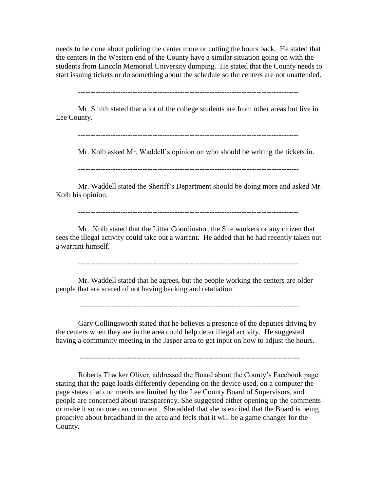needs to be done about policing the center more or cutting the hours back. He stated that the centers in the Western end of the County have a similar situation going on with the students from Lincoln Memorial University dumping. He stated that the County needs to start issuing tickets or do something about the schedule so the centers are not unattended.

Mr. Smith stated that a lot of the college students are from other areas but live in Lee County.

-----------------------------------------------------------------------------------------

Mr. Kolb asked Mr. Waddell's opinion on who should be writing the tickets in.

-----------------------------------------------------------------------------------------

Mr. Waddell stated the Sheriff's Department should be doing more and asked Mr. Kolb his opinion.

-----------------------------------------------------------------------------------------

Mr. Kolb stated that the Litter Coordinator, the Site workers or any citizen that sees the illegal activity could take out a warrant. He added that he had recently taken out a warrant himself.

-----------------------------------------------------------------------------------------

Mr. Waddell stated that he agrees, but the people working the centers are older people that are scared of not having backing and retaliation.

-----------------------------------------------------------------------------------------

Gary Collingsworth stated that he believes a presence of the deputies driving by the centers when they are in the area could help deter illegal activity. He suggested having a community meeting in the Jasper area to get input on how to adjust the hours.

-----------------------------------------------------------------------------------------

Roberta Thacker Oliver, addressed the Board about the County's Facebook page stating that the page loads differently depending on the device used, on a computer the page states that comments are limited by the Lee County Board of Supervisors, and people are concerned about transparency. She suggested either opening up the comments or make it so no one can comment. She added that she is excited that the Board is being proactive about broadband in the area and feels that it will be a game changer for the County.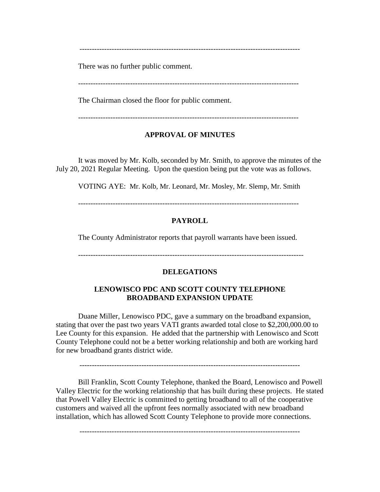-----------------------------------------------------------------------------------------

There was no further public comment.

The Chairman closed the floor for public comment.

-----------------------------------------------------------------------------------------

## **APPROVAL OF MINUTES**

It was moved by Mr. Kolb, seconded by Mr. Smith, to approve the minutes of the July 20, 2021 Regular Meeting. Upon the question being put the vote was as follows.

VOTING AYE: Mr. Kolb, Mr. Leonard, Mr. Mosley, Mr. Slemp, Mr. Smith

-----------------------------------------------------------------------------------------

## **PAYROLL**

The County Administrator reports that payroll warrants have been issued.

-------------------------------------------------------------------------------------------

## **DELEGATIONS**

## **LENOWISCO PDC AND SCOTT COUNTY TELEPHONE BROADBAND EXPANSION UPDATE**

Duane Miller, Lenowisco PDC, gave a summary on the broadband expansion, stating that over the past two years VATI grants awarded total close to \$2,200,000.00 to Lee County for this expansion. He added that the partnership with Lenowisco and Scott County Telephone could not be a better working relationship and both are working hard for new broadband grants district wide.

Bill Franklin, Scott County Telephone, thanked the Board, Lenowisco and Powell Valley Electric for the working relationship that has built during these projects. He stated that Powell Valley Electric is committed to getting broadband to all of the cooperative customers and waived all the upfront fees normally associated with new broadband installation, which has allowed Scott County Telephone to provide more connections.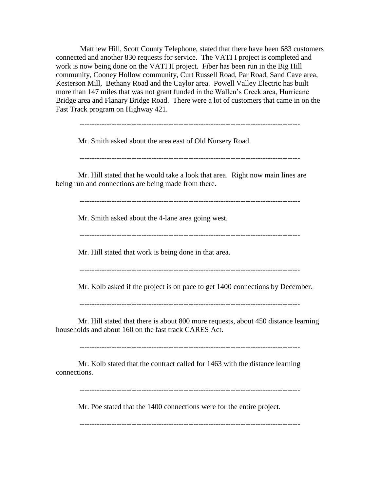Matthew Hill, Scott County Telephone, stated that there have been 683 customers connected and another 830 requests for service. The VATI I project is completed and work is now being done on the VATI II project. Fiber has been run in the Big Hill community, Cooney Hollow community, Curt Russell Road, Par Road, Sand Cave area, Kesterson Mill, Bethany Road and the Caylor area. Powell Valley Electric has built more than 147 miles that was not grant funded in the Wallen's Creek area, Hurricane Bridge area and Flanary Bridge Road. There were a lot of customers that came in on the Fast Track program on Highway 421.

-----------------------------------------------------------------------------------------

Mr. Smith asked about the area east of Old Nursery Road.

-----------------------------------------------------------------------------------------

Mr. Hill stated that he would take a look that area. Right now main lines are being run and connections are being made from there.

-----------------------------------------------------------------------------------------

Mr. Smith asked about the 4-lane area going west.

-----------------------------------------------------------------------------------------

Mr. Hill stated that work is being done in that area.

-----------------------------------------------------------------------------------------

Mr. Kolb asked if the project is on pace to get 1400 connections by December.

-----------------------------------------------------------------------------------------

Mr. Hill stated that there is about 800 more requests, about 450 distance learning households and about 160 on the fast track CARES Act.

-----------------------------------------------------------------------------------------

Mr. Kolb stated that the contract called for 1463 with the distance learning connections.

-----------------------------------------------------------------------------------------

Mr. Poe stated that the 1400 connections were for the entire project.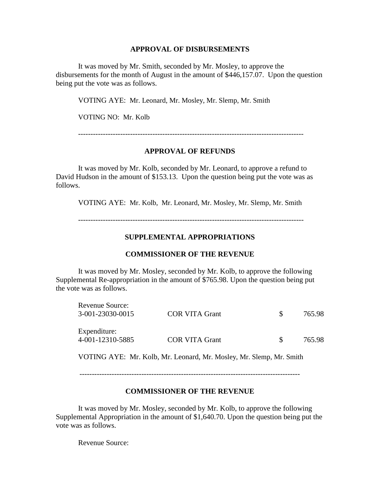#### **APPROVAL OF DISBURSEMENTS**

It was moved by Mr. Smith, seconded by Mr. Mosley, to approve the disbursements for the month of August in the amount of \$446,157.07. Upon the question being put the vote was as follows.

VOTING AYE: Mr. Leonard, Mr. Mosley, Mr. Slemp, Mr. Smith

VOTING NO: Mr. Kolb

-------------------------------------------------------------------------------------------

### **APPROVAL OF REFUNDS**

It was moved by Mr. Kolb, seconded by Mr. Leonard, to approve a refund to David Hudson in the amount of \$153.13. Upon the question being put the vote was as follows.

VOTING AYE: Mr. Kolb, Mr. Leonard, Mr. Mosley, Mr. Slemp, Mr. Smith

-------------------------------------------------------------------------------------------

## **SUPPLEMENTAL APPROPRIATIONS**

#### **COMMISSIONER OF THE REVENUE**

It was moved by Mr. Mosley, seconded by Mr. Kolb, to approve the following Supplemental Re-appropriation in the amount of \$765.98. Upon the question being put the vote was as follows.

| <b>Revenue Source:</b><br>3-001-23030-0015 | COR VITA Grant        | 765.98 |
|--------------------------------------------|-----------------------|--------|
| Expenditure:<br>4-001-12310-5885           | <b>COR VITA Grant</b> | 765.98 |

VOTING AYE: Mr. Kolb, Mr. Leonard, Mr. Mosley, Mr. Slemp, Mr. Smith

-----------------------------------------------------------------------------------------

### **COMMISSIONER OF THE REVENUE**

It was moved by Mr. Mosley, seconded by Mr. Kolb, to approve the following Supplemental Appropriation in the amount of \$1,640.70. Upon the question being put the vote was as follows.

Revenue Source: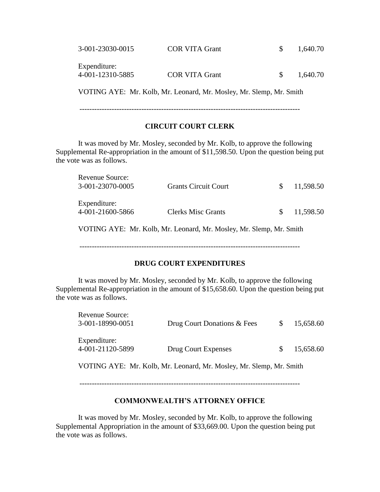| 3-001-23030-0015                 | <b>COR VITA Grant</b> | 1,640.70 |
|----------------------------------|-----------------------|----------|
| Expenditure:<br>4-001-12310-5885 | <b>COR VITA Grant</b> | 1,640.70 |

VOTING AYE: Mr. Kolb, Mr. Leonard, Mr. Mosley, Mr. Slemp, Mr. Smith

-----------------------------------------------------------------------------------------

## **CIRCUIT COURT CLERK**

It was moved by Mr. Mosley, seconded by Mr. Kolb, to approve the following Supplemental Re-appropriation in the amount of \$11,598.50. Upon the question being put the vote was as follows.

| <b>Revenue Source:</b><br>3-001-23070-0005 | <b>Grants Circuit Court</b> | S.  | 11,598.50 |
|--------------------------------------------|-----------------------------|-----|-----------|
| Expenditure:<br>4-001-21600-5866           | <b>Clerks Misc Grants</b>   | SS. | 11,598.50 |

VOTING AYE: Mr. Kolb, Mr. Leonard, Mr. Mosley, Mr. Slemp, Mr. Smith

-----------------------------------------------------------------------------------------

# **DRUG COURT EXPENDITURES**

It was moved by Mr. Mosley, seconded by Mr. Kolb, to approve the following Supplemental Re-appropriation in the amount of \$15,658.60. Upon the question being put the vote was as follows.

| Revenue Source:<br>3-001-18990-0051 | Drug Court Donations & Fees                                 | 15,658.60 |
|-------------------------------------|-------------------------------------------------------------|-----------|
| Expenditure:<br>4-001-21120-5899    | Drug Court Expenses                                         | 15,658.60 |
|                                     | VOTIMO AVE, M. Valk M. Leonard M. Meeter M. Clear M. Carth. |           |

VOTING AYE: Mr. Kolb, Mr. Leonard, Mr. Mosley, Mr. Slemp, Mr. Smith

-----------------------------------------------------------------------------------------

# **COMMONWEALTH'S ATTORNEY OFFICE**

It was moved by Mr. Mosley, seconded by Mr. Kolb, to approve the following Supplemental Appropriation in the amount of \$33,669.00. Upon the question being put the vote was as follows.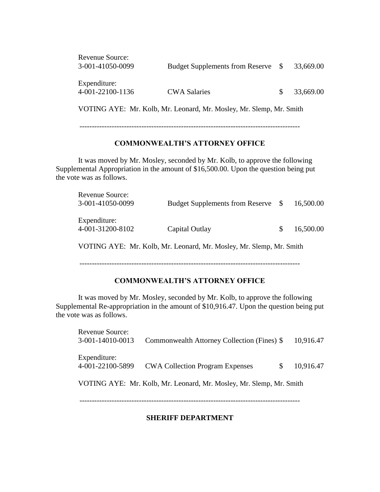| Revenue Source:<br>3-001-41050-0099 | Budget Supplements from Reserve \$                                  |              | 33,669.00 |
|-------------------------------------|---------------------------------------------------------------------|--------------|-----------|
| Expenditure:<br>4-001-22100-1136    | <b>CWA Salaries</b>                                                 | <sup>S</sup> | 33,669.00 |
|                                     | VOTING AYE: Mr. Kolb, Mr. Leonard, Mr. Mosley, Mr. Slemp, Mr. Smith |              |           |

-----------------------------------------------------------------------------------------

## **COMMONWEALTH'S ATTORNEY OFFICE**

It was moved by Mr. Mosley, seconded by Mr. Kolb, to approve the following Supplemental Appropriation in the amount of \$16,500.00. Upon the question being put the vote was as follows.

| Revenue Source:<br>3-001-41050-0099 | <b>Budget Supplements from Reserve</b> | <sup>S</sup> | 16,500.00 |
|-------------------------------------|----------------------------------------|--------------|-----------|
| Expenditure:<br>4-001-31200-8102    | Capital Outlay                         |              | 16,500.00 |

VOTING AYE: Mr. Kolb, Mr. Leonard, Mr. Mosley, Mr. Slemp, Mr. Smith

-----------------------------------------------------------------------------------------

## **COMMONWEALTH'S ATTORNEY OFFICE**

It was moved by Mr. Mosley, seconded by Mr. Kolb, to approve the following Supplemental Re-appropriation in the amount of \$10,916.47. Upon the question being put the vote was as follows.

| <b>Revenue Source:</b> |                                                                     |   |           |
|------------------------|---------------------------------------------------------------------|---|-----------|
| 3-001-14010-0013       | Commonwealth Attorney Collection (Fines) \$                         |   | 10,916.47 |
| Expenditure:           |                                                                     |   |           |
| 4-001-22100-5899       | <b>CWA Collection Program Expenses</b>                              | S | 10,916.47 |
|                        | VOTING AYE: Mr. Kolb, Mr. Leonard, Mr. Mosley, Mr. Slemp, Mr. Smith |   |           |
|                        |                                                                     |   |           |

## **SHERIFF DEPARTMENT**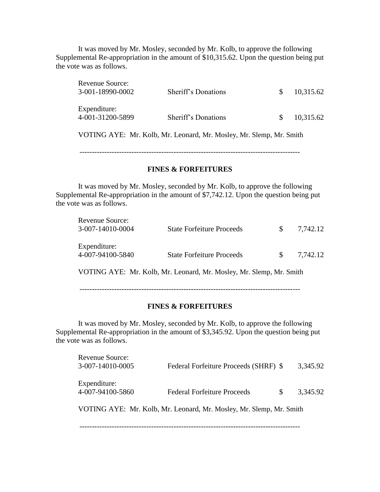It was moved by Mr. Mosley, seconded by Mr. Kolb, to approve the following Supplemental Re-appropriation in the amount of \$10,315.62. Upon the question being put the vote was as follows.

| <b>Revenue Source:</b> |                                                                     |     |           |
|------------------------|---------------------------------------------------------------------|-----|-----------|
| 3-001-18990-0002       | Sheriff's Donations                                                 | \$. | 10,315.62 |
| Expenditure:           |                                                                     |     |           |
| 4-001-31200-5899       | Sheriff's Donations                                                 | \$. | 10,315.62 |
|                        | VOTING AYE: Mr. Kolb, Mr. Leonard, Mr. Mosley, Mr. Slemp, Mr. Smith |     |           |
|                        |                                                                     |     |           |
|                        |                                                                     |     |           |

#### **FINES & FORFEITURES**

It was moved by Mr. Mosley, seconded by Mr. Kolb, to approve the following Supplemental Re-appropriation in the amount of \$7,742.12. Upon the question being put the vote was as follows.

| <b>Revenue Source:</b><br>3-007-14010-0004 | <b>State Forfeiture Proceeds</b> | 7,742.12 |
|--------------------------------------------|----------------------------------|----------|
| Expenditure:<br>4-007-94100-5840           | <b>State Forfeiture Proceeds</b> | 7,742.12 |
| $\cdots$                                   | TT 11 3 F T                      |          |

VOTING AYE: Mr. Kolb, Mr. Leonard, Mr. Mosley, Mr. Slemp, Mr. Smith

-----------------------------------------------------------------------------------------

#### **FINES & FORFEITURES**

It was moved by Mr. Mosley, seconded by Mr. Kolb, to approve the following Supplemental Re-appropriation in the amount of \$3,345.92. Upon the question being put the vote was as follows.

| Revenue Source:<br>3-007-14010-0005 | Federal Forfeiture Proceeds (SHRF) \$                               |    | 3,345.92 |
|-------------------------------------|---------------------------------------------------------------------|----|----------|
| Expenditure:<br>4-007-94100-5860    | <b>Federal Forfeiture Proceeds</b>                                  | S. | 3,345.92 |
|                                     | VOTING AYE: Mr. Kolb, Mr. Leonard, Mr. Mosley, Mr. Slemp, Mr. Smith |    |          |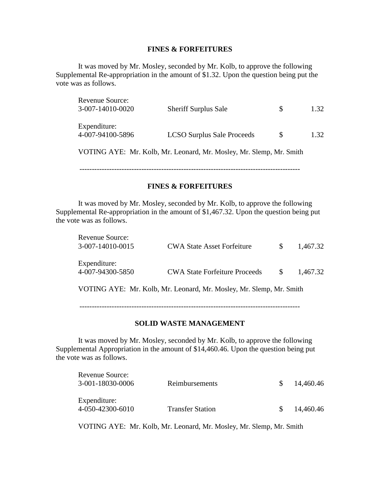#### **FINES & FORFEITURES**

It was moved by Mr. Mosley, seconded by Mr. Kolb, to approve the following Supplemental Re-appropriation in the amount of \$1.32. Upon the question being put the vote was as follows.

| Revenue Source:<br>3-007-14010-0020 | <b>Sheriff Surplus Sale</b>       |  | 1.32 |  |
|-------------------------------------|-----------------------------------|--|------|--|
| Expenditure:<br>4-007-94100-5896    | <b>LCSO Surplus Sale Proceeds</b> |  | 1.32 |  |
| $\overline{U}\cap\overline{U}U$     |                                   |  |      |  |

VOTING AYE: Mr. Kolb, Mr. Leonard, Mr. Mosley, Mr. Slemp, Mr. Smith

-----------------------------------------------------------------------------------------

## **FINES & FORFEITURES**

It was moved by Mr. Mosley, seconded by Mr. Kolb, to approve the following Supplemental Re-appropriation in the amount of \$1,467.32. Upon the question being put the vote was as follows.

| Revenue Source:<br>3-007-14010-0015                                 | <b>CWA State Asset Forfeiture</b>    | <sup>S</sup> | 1,467.32 |  |  |  |
|---------------------------------------------------------------------|--------------------------------------|--------------|----------|--|--|--|
| Expenditure:<br>4-007-94300-5850                                    | <b>CWA State Forfeiture Proceeds</b> | -SS          | 1.467.32 |  |  |  |
| VOTING AYE: Mr. Kolb, Mr. Leonard, Mr. Mosley, Mr. Slemp, Mr. Smith |                                      |              |          |  |  |  |

-----------------------------------------------------------------------------------------

#### **SOLID WASTE MANAGEMENT**

It was moved by Mr. Mosley, seconded by Mr. Kolb, to approve the following Supplemental Appropriation in the amount of \$14,460.46. Upon the question being put the vote was as follows.

| Revenue Source:<br>3-001-18030-0006 | Reimbursements          | $\mathcal{S}$ | 14,460.46 |
|-------------------------------------|-------------------------|---------------|-----------|
| Expenditure:<br>4-050-42300-6010    | <b>Transfer Station</b> | $\mathcal{S}$ | 14,460.46 |

VOTING AYE: Mr. Kolb, Mr. Leonard, Mr. Mosley, Mr. Slemp, Mr. Smith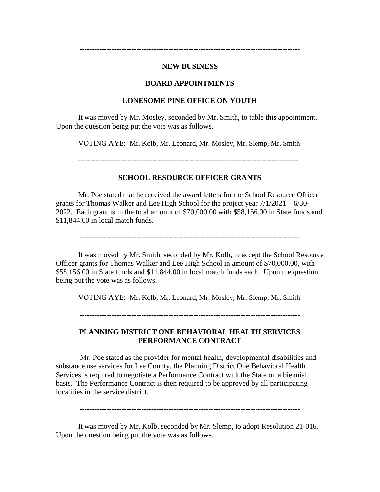#### **NEW BUSINESS**

-----------------------------------------------------------------------------------------

#### **BOARD APPOINTMENTS**

#### **LONESOME PINE OFFICE ON YOUTH**

It was moved by Mr. Mosley, seconded by Mr. Smith, to table this appointment. Upon the question being put the vote was as follows.

VOTING AYE: Mr. Kolb, Mr. Leonard, Mr. Mosley, Mr. Slemp, Mr. Smith

-----------------------------------------------------------------------------------------

## **SCHOOL RESOURCE OFFICER GRANTS**

Mr. Poe stated that he received the award letters for the School Resource Officer grants for Thomas Walker and Lee High School for the project year 7/1/2021 – 6/30- 2022. Each grant is in the total amount of \$70,000.00 with \$58,156.00 in State funds and \$11,844.00 in local match funds.

-----------------------------------------------------------------------------------------

It was moved by Mr. Smith, seconded by Mr. Kolb, to accept the School Resource Officer grants for Thomas Walker and Lee High School in amount of \$70,000.00, with \$58,156.00 in State funds and \$11,844.00 in local match funds each. Upon the question being put the vote was as follows.

VOTING AYE: Mr. Kolb, Mr. Leonard, Mr. Mosley, Mr. Slemp, Mr. Smith

-----------------------------------------------------------------------------------------

## **PLANNING DISTRICT ONE BEHAVIORAL HEALTH SERVICES PERFORMANCE CONTRACT**

Mr. Poe stated as the provider for mental health, developmental disabilities and substance use services for Lee County, the Planning District One Behavioral Health Services is required to negotiate a Performance Contract with the State on a biennial basis. The Performance Contract is then required to be approved by all participating localities in the service district.

-----------------------------------------------------------------------------------------

It was moved by Mr. Kolb, seconded by Mr. Slemp, to adopt Resolution 21-016. Upon the question being put the vote was as follows.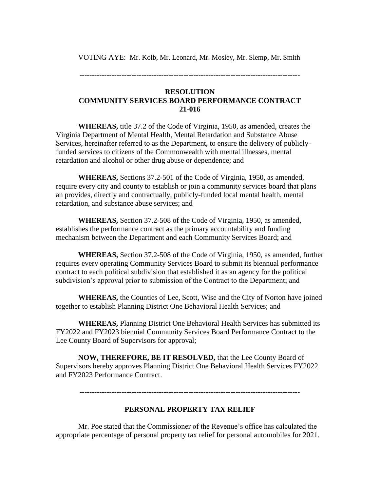VOTING AYE: Mr. Kolb, Mr. Leonard, Mr. Mosley, Mr. Slemp, Mr. Smith

-----------------------------------------------------------------------------------------

## **RESOLUTION COMMUNITY SERVICES BOARD PERFORMANCE CONTRACT 21-016**

**WHEREAS,** title 37.2 of the Code of Virginia, 1950, as amended, creates the Virginia Department of Mental Health, Mental Retardation and Substance Abuse Services, hereinafter referred to as the Department, to ensure the delivery of publiclyfunded services to citizens of the Commonwealth with mental illnesses, mental retardation and alcohol or other drug abuse or dependence; and

**WHEREAS,** Sections 37.2-501 of the Code of Virginia, 1950, as amended, require every city and county to establish or join a community services board that plans an provides, directly and contractually, publicly-funded local mental health, mental retardation, and substance abuse services; and

**WHEREAS,** Section 37.2-508 of the Code of Virginia, 1950, as amended, establishes the performance contract as the primary accountability and funding mechanism between the Department and each Community Services Board; and

**WHEREAS,** Section 37.2-508 of the Code of Virginia, 1950, as amended, further requires every operating Community Services Board to submit its biennual performance contract to each political subdivision that established it as an agency for the political subdivision's approval prior to submission of the Contract to the Department; and

**WHEREAS,** the Counties of Lee, Scott, Wise and the City of Norton have joined together to establish Planning District One Behavioral Health Services; and

**WHEREAS,** Planning District One Behavioral Health Services has submitted its FY2022 and FY2023 biennial Community Services Board Performance Contract to the Lee County Board of Supervisors for approval;

**NOW, THEREFORE, BE IT RESOLVED,** that the Lee County Board of Supervisors hereby approves Planning District One Behavioral Health Services FY2022 and FY2023 Performance Contract.

-----------------------------------------------------------------------------------------

# **PERSONAL PROPERTY TAX RELIEF**

Mr. Poe stated that the Commissioner of the Revenue's office has calculated the appropriate percentage of personal property tax relief for personal automobiles for 2021.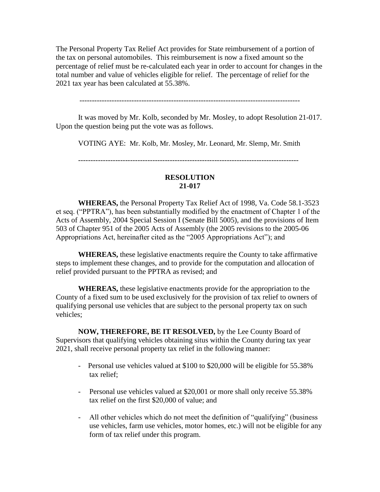The Personal Property Tax Relief Act provides for State reimbursement of a portion of the tax on personal automobiles. This reimbursement is now a fixed amount so the percentage of relief must be re-calculated each year in order to account for changes in the total number and value of vehicles eligible for relief. The percentage of relief for the 2021 tax year has been calculated at 55.38%.

-----------------------------------------------------------------------------------------

It was moved by Mr. Kolb, seconded by Mr. Mosley, to adopt Resolution 21-017. Upon the question being put the vote was as follows.

VOTING AYE: Mr. Kolb, Mr. Mosley, Mr. Leonard, Mr. Slemp, Mr. Smith

-----------------------------------------------------------------------------------------

## **RESOLUTION 21-017**

**WHEREAS,** the Personal Property Tax Relief Act of 1998, Va. Code 58.1-3523 et seq. ("PPTRA"), has been substantially modified by the enactment of Chapter 1 of the Acts of Assembly, 2004 Special Session I (Senate Bill 5005), and the provisions of Item 503 of Chapter 951 of the 2005 Acts of Assembly (the 2005 revisions to the 2005-06 Appropriations Act, hereinafter cited as the "2005 Appropriations Act"); and

**WHEREAS,** these legislative enactments require the County to take affirmative steps to implement these changes, and to provide for the computation and allocation of relief provided pursuant to the PPTRA as revised; and

**WHEREAS,** these legislative enactments provide for the appropriation to the County of a fixed sum to be used exclusively for the provision of tax relief to owners of qualifying personal use vehicles that are subject to the personal property tax on such vehicles;

**NOW, THEREFORE, BE IT RESOLVED,** by the Lee County Board of Supervisors that qualifying vehicles obtaining situs within the County during tax year 2021, shall receive personal property tax relief in the following manner:

- Personal use vehicles valued at \$100 to \$20,000 will be eligible for 55.38% tax relief;
- Personal use vehicles valued at \$20,001 or more shall only receive 55.38% tax relief on the first \$20,000 of value; and
- All other vehicles which do not meet the definition of "qualifying" (business use vehicles, farm use vehicles, motor homes, etc.) will not be eligible for any form of tax relief under this program.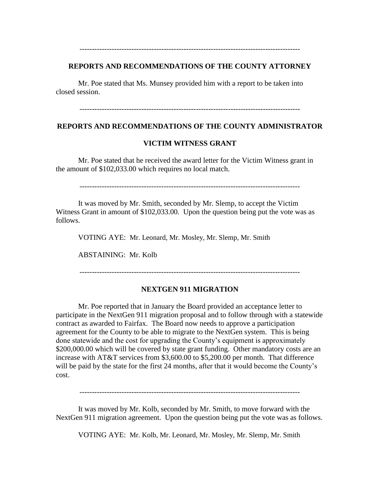### **REPORTS AND RECOMMENDATIONS OF THE COUNTY ATTORNEY**

-----------------------------------------------------------------------------------------

Mr. Poe stated that Ms. Munsey provided him with a report to be taken into closed session.

-----------------------------------------------------------------------------------------

### **REPORTS AND RECOMMENDATIONS OF THE COUNTY ADMINISTRATOR**

### **VICTIM WITNESS GRANT**

Mr. Poe stated that he received the award letter for the Victim Witness grant in the amount of \$102,033.00 which requires no local match.

-----------------------------------------------------------------------------------------

It was moved by Mr. Smith, seconded by Mr. Slemp, to accept the Victim Witness Grant in amount of \$102,033.00. Upon the question being put the vote was as follows.

VOTING AYE: Mr. Leonard, Mr. Mosley, Mr. Slemp, Mr. Smith

ABSTAINING: Mr. Kolb

-----------------------------------------------------------------------------------------

### **NEXTGEN 911 MIGRATION**

Mr. Poe reported that in January the Board provided an acceptance letter to participate in the NextGen 911 migration proposal and to follow through with a statewide contract as awarded to Fairfax. The Board now needs to approve a participation agreement for the County to be able to migrate to the NextGen system. This is being done statewide and the cost for upgrading the County's equipment is approximately \$200,000.00 which will be covered by state grant funding. Other mandatory costs are an increase with AT&T services from \$3,600.00 to \$5,200.00 per month. That difference will be paid by the state for the first 24 months, after that it would become the County's cost.

-----------------------------------------------------------------------------------------

It was moved by Mr. Kolb, seconded by Mr. Smith, to move forward with the NextGen 911 migration agreement. Upon the question being put the vote was as follows.

VOTING AYE: Mr. Kolb, Mr. Leonard, Mr. Mosley, Mr. Slemp, Mr. Smith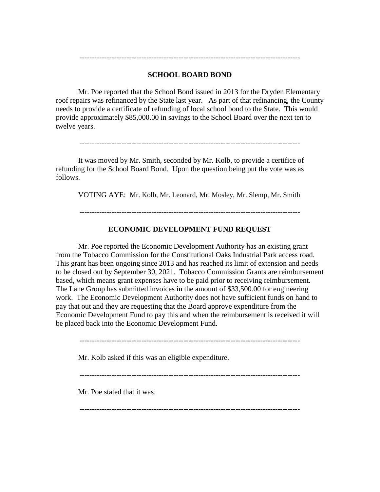## **SCHOOL BOARD BOND**

-----------------------------------------------------------------------------------------

Mr. Poe reported that the School Bond issued in 2013 for the Dryden Elementary roof repairs was refinanced by the State last year. As part of that refinancing, the County needs to provide a certificate of refunding of local school bond to the State. This would provide approximately \$85,000.00 in savings to the School Board over the next ten to twelve years.

It was moved by Mr. Smith, seconded by Mr. Kolb, to provide a certifice of refunding for the School Board Bond. Upon the question being put the vote was as follows.

VOTING AYE: Mr. Kolb, Mr. Leonard, Mr. Mosley, Mr. Slemp, Mr. Smith

-----------------------------------------------------------------------------------------

### **ECONOMIC DEVELOPMENT FUND REQUEST**

Mr. Poe reported the Economic Development Authority has an existing grant from the Tobacco Commission for the Constitutional Oaks Industrial Park access road. This grant has been ongoing since 2013 and has reached its limit of extension and needs to be closed out by September 30, 2021. Tobacco Commission Grants are reimbursement based, which means grant expenses have to be paid prior to receiving reimbursement. The Lane Group has submitted invoices in the amount of \$33,500.00 for engineering work. The Economic Development Authority does not have sufficient funds on hand to pay that out and they are requesting that the Board approve expenditure from the Economic Development Fund to pay this and when the reimbursement is received it will be placed back into the Economic Development Fund.

-----------------------------------------------------------------------------------------

Mr. Kolb asked if this was an eligible expenditure.

-----------------------------------------------------------------------------------------

-----------------------------------------------------------------------------------------

Mr. Poe stated that it was.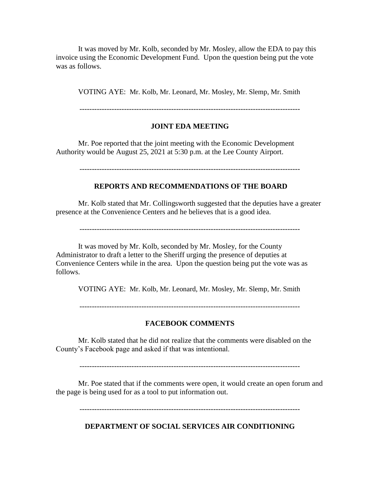It was moved by Mr. Kolb, seconded by Mr. Mosley, allow the EDA to pay this invoice using the Economic Development Fund. Upon the question being put the vote was as follows.

VOTING AYE: Mr. Kolb, Mr. Leonard, Mr. Mosley, Mr. Slemp, Mr. Smith

## **JOINT EDA MEETING**

Mr. Poe reported that the joint meeting with the Economic Development Authority would be August 25, 2021 at 5:30 p.m. at the Lee County Airport.

-----------------------------------------------------------------------------------------

## **REPORTS AND RECOMMENDATIONS OF THE BOARD**

Mr. Kolb stated that Mr. Collingsworth suggested that the deputies have a greater presence at the Convenience Centers and he believes that is a good idea.

It was moved by Mr. Kolb, seconded by Mr. Mosley, for the County Administrator to draft a letter to the Sheriff urging the presence of deputies at Convenience Centers while in the area. Upon the question being put the vote was as follows.

VOTING AYE: Mr. Kolb, Mr. Leonard, Mr. Mosley, Mr. Slemp, Mr. Smith

-----------------------------------------------------------------------------------------

### **FACEBOOK COMMENTS**

Mr. Kolb stated that he did not realize that the comments were disabled on the County's Facebook page and asked if that was intentional.

-----------------------------------------------------------------------------------------

Mr. Poe stated that if the comments were open, it would create an open forum and the page is being used for as a tool to put information out.

-----------------------------------------------------------------------------------------

**DEPARTMENT OF SOCIAL SERVICES AIR CONDITIONING**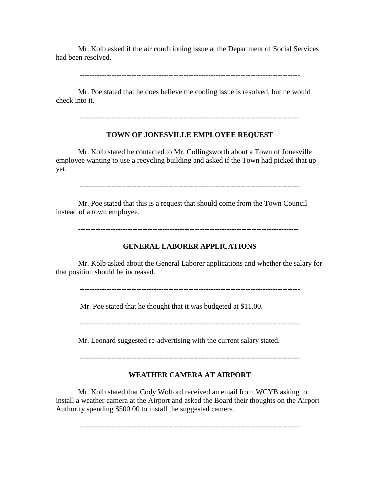Mr. Kolb asked if the air conditioning issue at the Department of Social Services had been resolved.

Mr. Poe stated that he does believe the cooling issue is resolved, but he would check into it.

-----------------------------------------------------------------------------------------

## **TOWN OF JONESVILLE EMPLOYEE REQUEST**

Mr. Kolb stated he contacted to Mr. Collingsworth about a Town of Jonesville employee wanting to use a recycling building and asked if the Town had picked that up yet.

-----------------------------------------------------------------------------------------

Mr. Poe stated that this is a request that should come from the Town Council instead of a town employee.

-----------------------------------------------------------------------------------------

## **GENERAL LABORER APPLICATIONS**

Mr. Kolb asked about the General Laborer applications and whether the salary for that position should be increased.

-----------------------------------------------------------------------------------------

Mr. Poe stated that he thought that it was budgeted at \$11.00.

-----------------------------------------------------------------------------------------

Mr. Leonard suggested re-advertising with the current salary stated.

-----------------------------------------------------------------------------------------

# **WEATHER CAMERA AT AIRPORT**

Mr. Kolb stated that Cody Wolford received an email from WCYB asking to install a weather camera at the Airport and asked the Board their thoughts on the Airport Authority spending \$500.00 to install the suggested camera.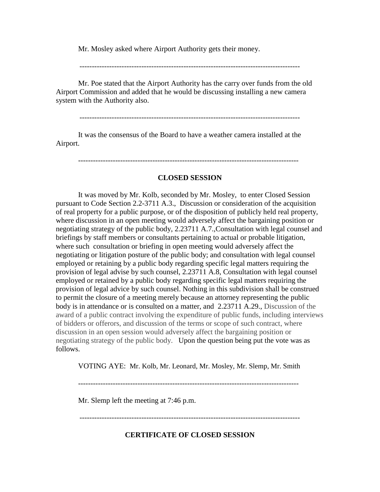Mr. Mosley asked where Airport Authority gets their money.

-----------------------------------------------------------------------------------------

Mr. Poe stated that the Airport Authority has the carry over funds from the old Airport Commission and added that he would be discussing installing a new camera system with the Authority also.

-----------------------------------------------------------------------------------------

It was the consensus of the Board to have a weather camera installed at the Airport.

-----------------------------------------------------------------------------------------

### **CLOSED SESSION**

It was moved by Mr. Kolb, seconded by Mr. Mosley, to enter Closed Session pursuant to Code Section 2.2-3711 A.3., Discussion or consideration of the acquisition of real property for a public purpose, or of the disposition of publicly held real property, where discussion in an open meeting would adversely affect the bargaining position or negotiating strategy of the public body, 2.23711 A.7.,Consultation with legal counsel and briefings by staff members or consultants pertaining to actual or probable litigation, where such consultation or briefing in open meeting would adversely affect the negotiating or litigation posture of the public body; and consultation with legal counsel employed or retaining by a public body regarding specific legal matters requiring the provision of legal advise by such counsel, 2.23711 A.8, Consultation with legal counsel employed or retained by a public body regarding specific legal matters requiring the provision of legal advice by such counsel. Nothing in this subdivision shall be construed to permit the closure of a meeting merely because an attorney representing the public body is in attendance or is consulted on a matter, and 2.23711 A.29., Discussion of the award of a public contract involving the expenditure of public funds, including interviews of bidders or offerors, and discussion of the terms or scope of such contract, where discussion in an open session would adversely affect the bargaining position or negotiating strategy of the public body. Upon the question being put the vote was as follows.

VOTING AYE: Mr. Kolb, Mr. Leonard, Mr. Mosley, Mr. Slemp, Mr. Smith

-----------------------------------------------------------------------------------------

Mr. Slemp left the meeting at 7:46 p.m.

-----------------------------------------------------------------------------------------

**CERTIFICATE OF CLOSED SESSION**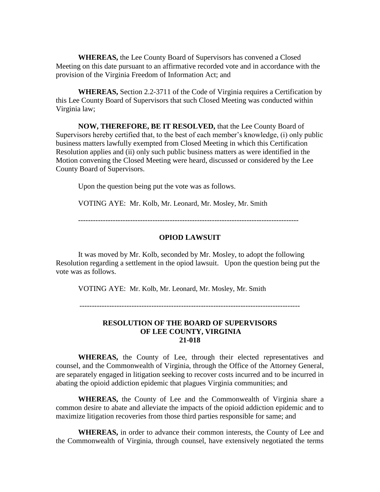**WHEREAS,** the Lee County Board of Supervisors has convened a Closed Meeting on this date pursuant to an affirmative recorded vote and in accordance with the provision of the Virginia Freedom of Information Act; and

**WHEREAS,** Section 2.2-3711 of the Code of Virginia requires a Certification by this Lee County Board of Supervisors that such Closed Meeting was conducted within Virginia law;

**NOW, THEREFORE, BE IT RESOLVED,** that the Lee County Board of Supervisors hereby certified that, to the best of each member's knowledge, (i) only public business matters lawfully exempted from Closed Meeting in which this Certification Resolution applies and (ii) only such public business matters as were identified in the Motion convening the Closed Meeting were heard, discussed or considered by the Lee County Board of Supervisors.

Upon the question being put the vote was as follows.

VOTING AYE: Mr. Kolb, Mr. Leonard, Mr. Mosley, Mr. Smith

-----------------------------------------------------------------------------------------

## **OPIOD LAWSUIT**

It was moved by Mr. Kolb, seconded by Mr. Mosley, to adopt the following Resolution regarding a settlement in the opiod lawsuit. Upon the question being put the vote was as follows.

VOTING AYE: Mr. Kolb, Mr. Leonard, Mr. Mosley, Mr. Smith

-----------------------------------------------------------------------------------------

### **RESOLUTION OF THE BOARD OF SUPERVISORS OF LEE COUNTY, VIRGINIA 21-018**

**WHEREAS,** the County of Lee, through their elected representatives and counsel, and the Commonwealth of Virginia, through the Office of the Attorney General, are separately engaged in litigation seeking to recover costs incurred and to be incurred in abating the opioid addiction epidemic that plagues Virginia communities; and

**WHEREAS,** the County of Lee and the Commonwealth of Virginia share a common desire to abate and alleviate the impacts of the opioid addiction epidemic and to maximize litigation recoveries from those third parties responsible for same; and

**WHEREAS,** in order to advance their common interests, the County of Lee and the Commonwealth of Virginia, through counsel, have extensively negotiated the terms